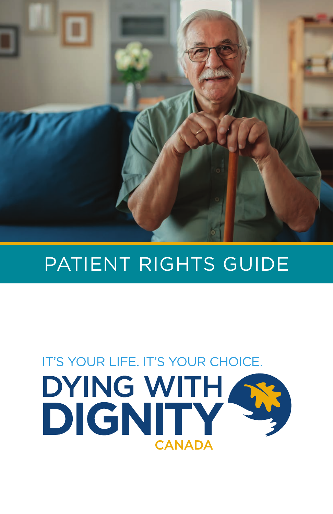

# PATIENT RIGHTS GUIDE

# IT'S YOUR LIFE. IT'S YOUR CHOICE. DYING WITH S **CANADA**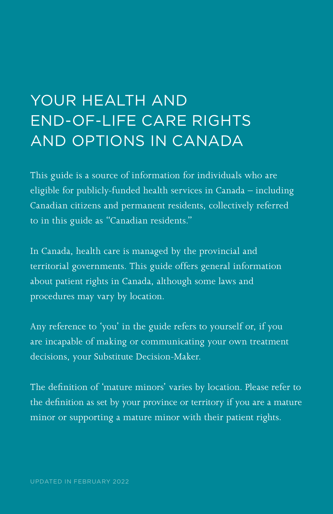## YOUR HEALTH AND END-OF-LIFE CARE RIGHTS AND OPTIONS IN CANADA

This guide is a source of information for individuals who are eligible for publicly-funded health services in Canada – including Canadian citizens and permanent residents, collectively referred to in this guide as "Canadian residents."

In Canada, health care is managed by the provincial and territorial governments. This guide offers general information about patient rights in Canada, although some laws and procedures may vary by location.

Any reference to 'you' in the guide refers to yourself or, if you are incapable of making or communicating your own treatment decisions, your Substitute Decision-Maker.

The definition of 'mature minors' varies by location. Please refer to the definition as set by your province or territory if you are a mature minor or supporting a mature minor with their patient rights.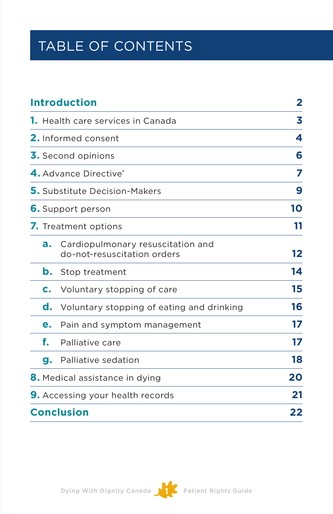### TABLE OF CONTENTS

| <b>Introduction</b>                      |                                                                  | 2  |
|------------------------------------------|------------------------------------------------------------------|----|
| <b>1.</b> Health care services in Canada |                                                                  | 3  |
| <b>2.</b> Informed consent               |                                                                  | 4  |
| 3. Second opinions                       |                                                                  | 6  |
| 4. Advance Directive <sup>*</sup>        |                                                                  | 7  |
| <b>5.</b> Substitute Decision-Makers     |                                                                  | 9  |
| <b>6.</b> Support person                 |                                                                  | 10 |
| 7. Treatment options                     |                                                                  | 11 |
| а.                                       | Cardiopulmonary resuscitation and<br>do-not-resuscitation orders | 12 |
| b.                                       | Stop treatment                                                   | 14 |
| c.                                       | Voluntary stopping of care                                       | 15 |
| d.                                       | Voluntary stopping of eating and drinking                        | 16 |
| е.                                       | Pain and symptom management                                      | 17 |
| f.                                       | Palliative care                                                  | 17 |
| g.                                       | Palliative sedation                                              | 18 |
| <b>8.</b> Medical assistance in dying    |                                                                  | 20 |
| <b>9.</b> Accessing your health records  |                                                                  | 21 |
| <b>Conclusion</b>                        |                                                                  | 22 |

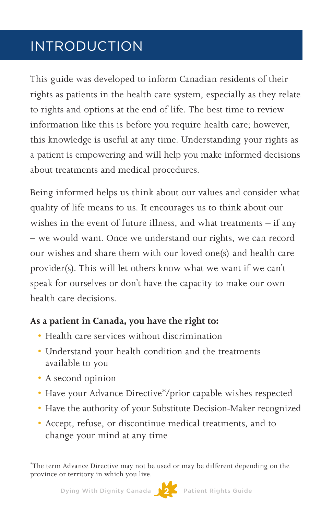### INTRODUCTION

This guide was developed to inform Canadian residents of their rights as patients in the health care system, especially as they relate to rights and options at the end of life. The best time to review information like this is before you require health care; however, this knowledge is useful at any time. Understanding your rights as a patient is empowering and will help you make informed decisions about treatments and medical procedures.

Being informed helps us think about our values and consider what quality of life means to us. It encourages us to think about our wishes in the event of future illness, and what treatments – if any – we would want. Once we understand our rights, we can record our wishes and share them with our loved one(s) and health care provider(s). This will let others know what we want if we can't speak for ourselves or don't have the capacity to make our own health care decisions.

#### **As a patient in Canada, you have the right to:**

- Health care services without discrimination
- Understand your health condition and the treatments available to you
- A second opinion
- Have your Advance Directive\*/prior capable wishes respected
- Have the authority of your Substitute Decision-Maker recognized
- • Accept, refuse, or discontinue medical treatments, and to change your mind at any time



<sup>\*</sup> The term Advance Directive may not be used or may be different depending on the province or territory in which you live.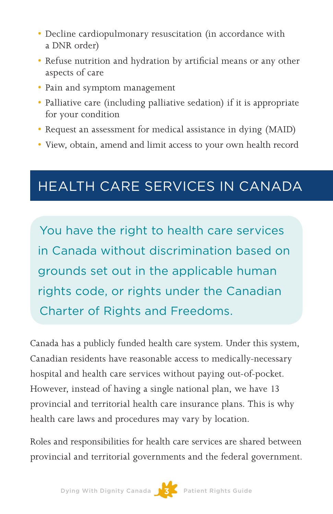- Decline cardiopulmonary resuscitation (in accordance with a DNR order)
- • Refuse nutrition and hydration by artificial means or any other aspects of care
- Pain and symptom management
- Palliative care (including palliative sedation) if it is appropriate for your condition
- Request an assessment for medical assistance in dying (MAID)
- • View, obtain, amend and limit access to your own health record

### HEALTH CARE SERVICES IN CANADA

You have the right to health care services in Canada without discrimination based on grounds set out in the applicable human rights code, or rights under the Canadian Charter of Rights and Freedoms.

Canada has a publicly funded health care system. Under this system, Canadian residents have reasonable access to medically-necessary hospital and health care services without paying out-of-pocket. However, instead of having a single national plan, we have 13 provincial and territorial health care insurance plans. This is why health care laws and procedures may vary by location.

Roles and responsibilities for health care services are shared between provincial and territorial governments and the federal government.

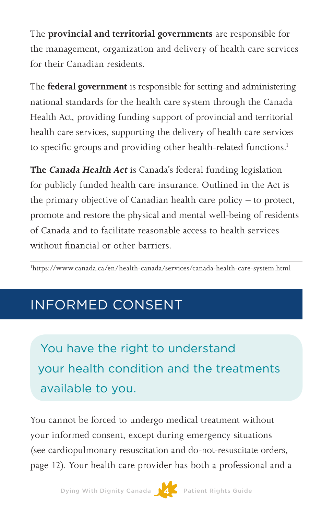The **provincial and territorial governments** are responsible for the management, organization and delivery of health care services for their Canadian residents.

The **federal government** is responsible for setting and administering national standards for the health care system through the Canada Health Act, providing funding support of provincial and territorial health care services, supporting the delivery of health care services to specific groups and providing other health-related functions.<sup>1</sup>

**The Canada Health Act** is Canada's federal funding legislation for publicly funded health care insurance. Outlined in the Act is the primary objective of Canadian health care policy – to protect, promote and restore the physical and mental well-being of residents of Canada and to facilitate reasonable access to health services without financial or other barriers.

1 <https://www.canada.ca/en/health-canada/services/canada-health-care-system.html>

### INFORMED CONSENT

You have the right to understand your health condition and the treatments available to you.

You cannot be forced to undergo medical treatment without your informed consent, except during emergency situations (see cardiopulmonary resuscitation and do-not-resuscitate orders, page 12). Your health care provider has both a professional and a

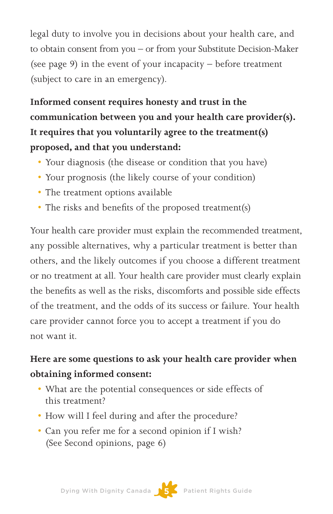legal duty to involve you in decisions about your health care, and to obtain consent from you – or from your Substitute Decision-Maker (see page 9) in the event of your incapacity – before treatment (subject to care in an emergency).

**Informed consent requires honesty and trust in the communication between you and your health care provider(s). It requires that you voluntarily agree to the treatment(s) proposed, and that you understand:** 

- Your diagnosis (the disease or condition that you have)
- • Your prognosis (the likely course of your condition)
- The treatment options available
- The risks and benefits of the proposed treatment(s)

Your health care provider must explain the recommended treatment, any possible alternatives, why a particular treatment is better than others, and the likely outcomes if you choose a different treatment or no treatment at all. Your health care provider must clearly explain the benefits as well as the risks, discomforts and possible side effects of the treatment, and the odds of its success or failure. Your health care provider cannot force you to accept a treatment if you do not want it.

#### **Here are some questions to ask your health care provider when obtaining informed consent:**

- What are the potential consequences or side effects of this treatment?
- How will I feel during and after the procedure?
- Can you refer me for a second opinion if I wish? (See Second opinions, page 6)

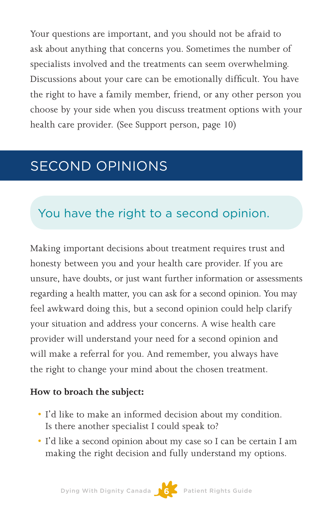Your questions are important, and you should not be afraid to ask about anything that concerns you. Sometimes the number of specialists involved and the treatments can seem overwhelming. Discussions about your care can be emotionally difficult. You have the right to have a family member, friend, or any other person you choose by your side when you discuss treatment options with your health care provider. (See Support person, page 10)

### SECOND OPINIONS

#### You have the right to a second opinion.

Making important decisions about treatment requires trust and honesty between you and your health care provider. If you are unsure, have doubts, or just want further information or assessments regarding a health matter, you can ask for a second opinion. You may feel awkward doing this, but a second opinion could help clarify your situation and address your concerns. A wise health care provider will understand your need for a second opinion and will make a referral for you. And remember, you always have the right to change your mind about the chosen treatment.

#### **How to broach the subject:**

- • I'd like to make an informed decision about my condition. Is there another specialist I could speak to?
- • I'd like a second opinion about my case so I can be certain I am making the right decision and fully understand my options.

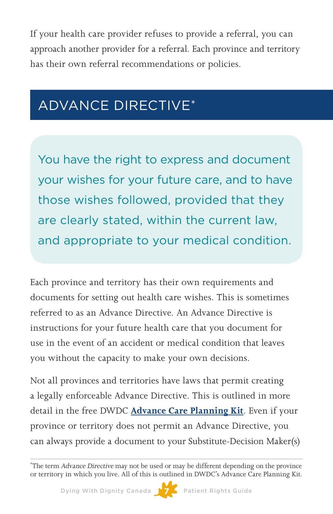If your health care provider refuses to provide a referral, you can approach another provider for a referral. Each province and territory has their own referral recommendations or policies.

### ADVANCE DIRECTIVE\*

You have the right to express and document your wishes for your future care, and to have those wishes followed, provided that they are clearly stated, within the current law, and appropriate to your medical condition.

Each province and territory has their own requirements and documents for setting out health care wishes. This is sometimes referred to as an Advance Directive. An Advance Directive is instructions for your future health care that you document for use in the event of an accident or medical condition that leaves you without the capacity to make your own decisions.

Not all provinces and territories have laws that permit creating a legally enforceable Advance Directive. This is outlined in more detail in the free DWDC **[Advance Care Planning Kit](https://www.dyingwithdignity.ca/download_acp_kit)**. Even if your province or territory does not permit an Advance Directive, you can always provide a document to your Substitute-Decision Maker(s)



<sup>\*</sup> The term Advance Directive may not be used or may be different depending on the province or territory in which you live. All of this is outlined in DWDC's Advance Care Planning Kit.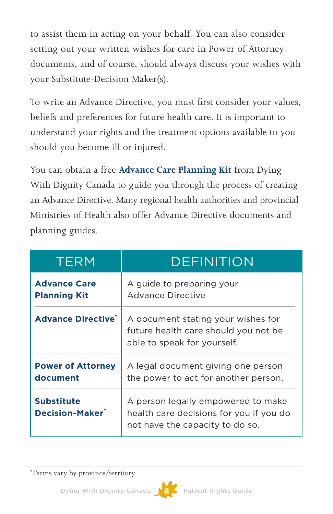to assist them in acting on your behalf. You can also consider setting out your written wishes for care in Power of Attorney documents, and of course, should always discuss your wishes with your Substitute-Decision Maker(s).

To write an Advance Directive, you must first consider your values, beliefs and preferences for future health care. It is important to understand your rights and the treatment options available to you should you become ill or injured.

You can obtain a free **[Advance Care Planning Kit](https://www.dyingwithdignity.ca/download_acp_kit)** from Dying With Dignity Canada to guide you through the process of creating an Advance Directive. Many regional health authorities and provincial Ministries of Health also offer Advance Directive documents and planning guides.

| <b>TERM</b>                                      | <b>DEFINITION</b>                                                                                                |
|--------------------------------------------------|------------------------------------------------------------------------------------------------------------------|
| <b>Advance Care</b><br><b>Planning Kit</b>       | A guide to preparing your<br>Advance Directive                                                                   |
| <b>Advance Directive<sup>*</sup></b>             | A document stating your wishes for<br>future health care should you not be<br>able to speak for yourself.        |
| <b>Power of Attorney</b><br>document             | A legal document giving one person<br>the power to act for another person.                                       |
| <b>Substitute</b><br>Decision-Maker <sup>*</sup> | A person legally empowered to make<br>health care decisions for you if you do<br>not have the capacity to do so. |

\*Terms vary by province/territory

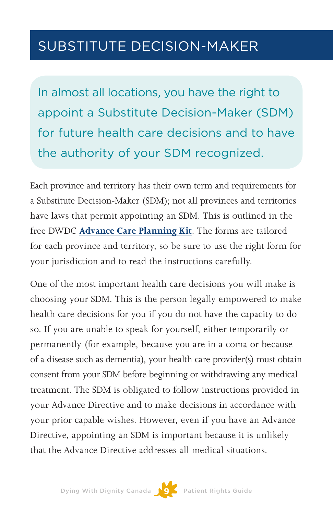### SUBSTITUTE DECISION-MAKER

In almost all locations, you have the right to appoint a Substitute Decision-Maker (SDM) for future health care decisions and to have the authority of your SDM recognized.

Each province and territory has their own term and requirements for a Substitute Decision-Maker (SDM); not all provinces and territories have laws that permit appointing an SDM. This is outlined in the free DWDC **[Advance Care Planning Kit](https://www.dyingwithdignity.ca/download_acp_kit)**. The forms are tailored for each province and territory, so be sure to use the right form for your jurisdiction and to read the instructions carefully.

One of the most important health care decisions you will make is choosing your SDM. This is the person legally empowered to make health care decisions for you if you do not have the capacity to do so. If you are unable to speak for yourself, either temporarily or permanently (for example, because you are in a coma or because of a disease such as dementia), your health care provider(s) must obtain consent from your SDM before beginning or withdrawing any medical treatment. The SDM is obligated to follow instructions provided in your Advance Directive and to make decisions in accordance with your prior capable wishes. However, even if you have an Advance Directive, appointing an SDM is important because it is unlikely that the Advance Directive addresses all medical situations.

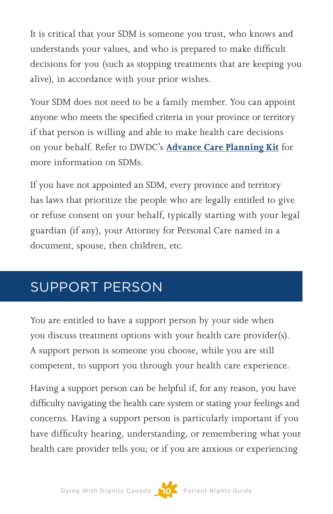It is critical that your SDM is someone you trust, who knows and understands your values, and who is prepared to make difficult decisions for you (such as stopping treatments that are keeping you alive), in accordance with your prior wishes.

Your SDM does not need to be a family member. You can appoint anyone who meets the specified criteria in your province or territory if that person is willing and able to make health care decisions on your behalf. Refer to DWDC's **[Advance Care Planning Kit](https://www.dyingwithdignity.ca/download_acp_kit)** for more information on SDMs.

If you have not appointed an SDM, every province and territory has laws that prioritize the people who are legally entitled to give or refuse consent on your behalf, typically starting with your legal guardian (if any), your Attorney for Personal Care named in a document, spouse, then children, etc.

### SUPPORT PERSON

You are entitled to have a support person by your side when you discuss treatment options with your health care provider(s). A support person is someone you choose, while you are still competent, to support you through your health care experience.

Having a support person can be helpful if, for any reason, you have difficulty navigating the health care system or stating your feelings and concerns. Having a support person is particularly important if you have difficulty hearing, understanding, or remembering what your health care provider tells you; or if you are anxious or experiencing

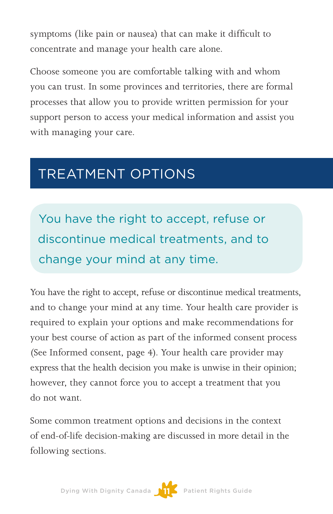symptoms (like pain or nausea) that can make it difficult to concentrate and manage your health care alone.

Choose someone you are comfortable talking with and whom you can trust. In some provinces and territories, there are formal processes that allow you to provide written permission for your support person to access your medical information and assist you with managing your care.

### TREATMENT OPTIONS

You have the right to accept, refuse or discontinue medical treatments, and to change your mind at any time.

You have the right to accept, refuse or discontinue medical treatments, and to change your mind at any time. Your health care provider is required to explain your options and make recommendations for your best course of action as part of the informed consent process (See Informed consent, page 4). Your health care provider may express that the health decision you make is unwise in their opinion; however, they cannot force you to accept a treatment that you do not want.

Some common treatment options and decisions in the context of end-of-life decision-making are discussed in more detail in the following sections.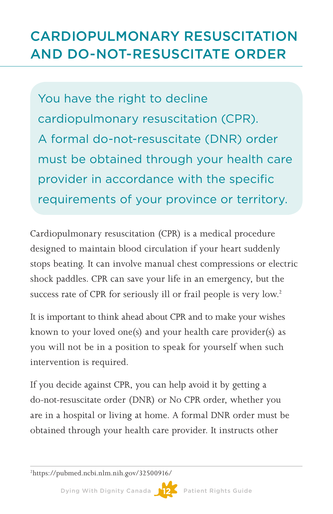### CARDIOPULMONARY RESUSCITATION AND DO-NOT-RESUSCITATE ORDER

You have the right to decline cardiopulmonary resuscitation (CPR). A formal do-not-resuscitate (DNR) order must be obtained through your health care provider in accordance with the specific requirements of your province or territory.

Cardiopulmonary resuscitation (CPR) is a medical procedure designed to maintain blood circulation if your heart suddenly stops beating. It can involve manual chest compressions or electric shock paddles. CPR can save your life in an emergency, but the success rate of CPR for seriously ill or frail people is very low.<sup>2</sup>

It is important to think ahead about CPR and to make your wishes known to your loved one(s) and your health care provider(s) as you will not be in a position to speak for yourself when such intervention is required.

If you decide against CPR, you can help avoid it by getting a do-not-resuscitate order (DNR) or No CPR order, whether you are in a hospital or living at home. A formal DNR order must be obtained through your health care provider. It instructs other

2 <https://pubmed.ncbi.nlm.nih.gov/32500916/>

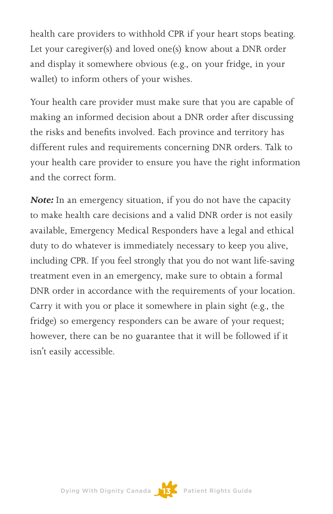health care providers to withhold CPR if your heart stops beating. Let your caregiver(s) and loved one(s) know about a DNR order and display it somewhere obvious (e.g., on your fridge, in your wallet) to inform others of your wishes.

Your health care provider must make sure that you are capable of making an informed decision about a DNR order after discussing the risks and benefits involved. Each province and territory has different rules and requirements concerning DNR orders. Talk to your health care provider to ensure you have the right information and the correct form.

**Note:** In an emergency situation, if you do not have the capacity to make health care decisions and a valid DNR order is not easily available, Emergency Medical Responders have a legal and ethical duty to do whatever is immediately necessary to keep you alive, including CPR. If you feel strongly that you do not want life-saving treatment even in an emergency, make sure to obtain a formal DNR order in accordance with the requirements of your location. Carry it with you or place it somewhere in plain sight (e.g., the fridge) so emergency responders can be aware of your request; however, there can be no guarantee that it will be followed if it isn't easily accessible.

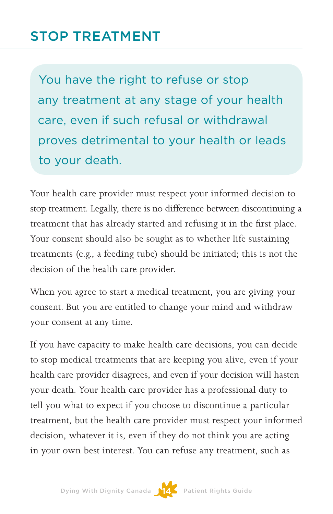### STOP TREATMENT

You have the right to refuse or stop any treatment at any stage of your health care, even if such refusal or withdrawal proves detrimental to your health or leads to your death.

Your health care provider must respect your informed decision to stop treatment. Legally, there is no difference between discontinuing a treatment that has already started and refusing it in the first place. Your consent should also be sought as to whether life sustaining treatments (e.g., a feeding tube) should be initiated; this is not the decision of the health care provider.

When you agree to start a medical treatment, you are giving your consent. But you are entitled to change your mind and withdraw your consent at any time.

If you have capacity to make health care decisions, you can decide to stop medical treatments that are keeping you alive, even if your health care provider disagrees, and even if your decision will hasten your death. Your health care provider has a professional duty to tell you what to expect if you choose to discontinue a particular treatment, but the health care provider must respect your informed decision, whatever it is, even if they do not think you are acting in your own best interest. You can refuse any treatment, such as

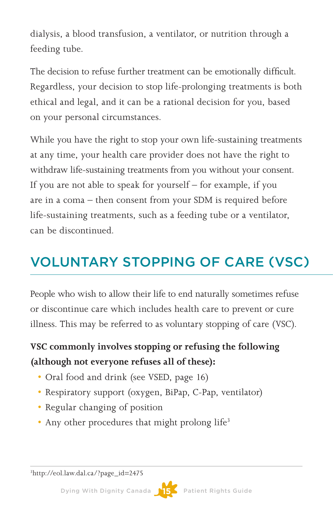dialysis, a blood transfusion, a ventilator, or nutrition through a feeding tube.

The decision to refuse further treatment can be emotionally difficult. Regardless, your decision to stop life-prolonging treatments is both ethical and legal, and it can be a rational decision for you, based on your personal circumstances.

While you have the right to stop your own life-sustaining treatments at any time, your health care provider does not have the right to withdraw life-sustaining treatments from you without your consent. If you are not able to speak for yourself – for example, if you are in a coma – then consent from your SDM is required before life-sustaining treatments, such as a feeding tube or a ventilator, can be discontinued.

### VOLUNTARY STOPPING OF CARE (VSC)

People who wish to allow their life to end naturally sometimes refuse or discontinue care which includes health care to prevent or cure illness. This may be referred to as voluntary stopping of care (VSC).

#### **VSC commonly involves stopping or refusing the following (although not everyone refuses all of these):**

- Oral food and drink (see VSED, page 16)
- Respiratory support (oxygen, BiPap, C-Pap, ventilator)
- Regular changing of position
- Any other procedures that might prolong life<sup>3</sup>

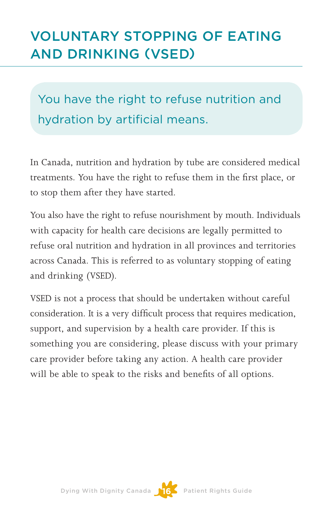### VOLUNTARY STOPPING OF EATING AND DRINKING (VSED)

You have the right to refuse nutrition and hydration by artificial means.

In Canada, nutrition and hydration by tube are considered medical treatments. You have the right to refuse them in the first place, or to stop them after they have started.

You also have the right to refuse nourishment by mouth. Individuals with capacity for health care decisions are legally permitted to refuse oral nutrition and hydration in all provinces and territories across Canada. This is referred to as voluntary stopping of eating and drinking (VSED).

VSED is not a process that should be undertaken without careful consideration. It is a very difficult process that requires medication, support, and supervision by a health care provider. If this is something you are considering, please discuss with your primary care provider before taking any action. A health care provider will be able to speak to the risks and benefits of all options.



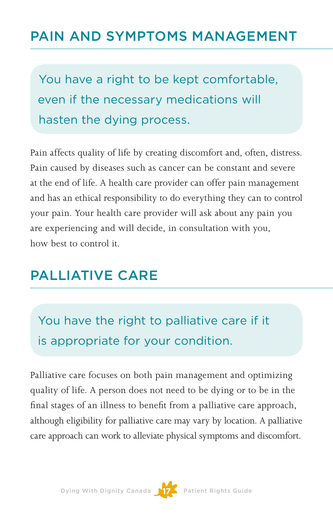#### PAIN AND SYMPTOMS MANAGEMENT

You have a right to be kept comfortable, even if the necessary medications will hasten the dying process.

Pain affects quality of life by creating discomfort and, often, distress. Pain caused by diseases such as cancer can be constant and severe at the end of life. A health care provider can offer pain management and has an ethical responsibility to do everything they can to control your pain. Your health care provider will ask about any pain you are experiencing and will decide, in consultation with you, how best to control it.

#### PALLIATIVE CARE

You have the right to palliative care if it is appropriate for your condition.

Palliative care focuses on both pain management and optimizing quality of life. A person does not need to be dying or to be in the final stages of an illness to benefit from a palliative care approach, although eligibility for palliative care may vary by location. A palliative care approach can work to alleviate physical symptoms and discomfort.

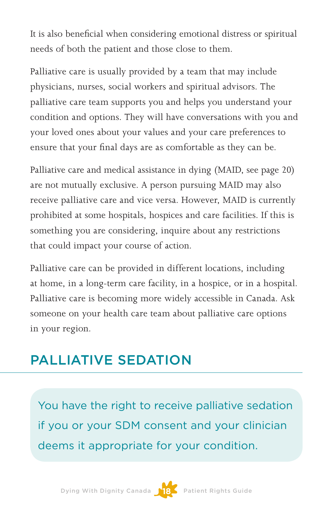It is also beneficial when considering emotional distress or spiritual needs of both the patient and those close to them.

Palliative care is usually provided by a team that may include physicians, nurses, social workers and spiritual advisors. The palliative care team supports you and helps you understand your condition and options. They will have conversations with you and your loved ones about your values and your care preferences to ensure that your final days are as comfortable as they can be.

Palliative care and medical assistance in dying (MAID, see page 20) are not mutually exclusive. A person pursuing MAID may also receive palliative care and vice versa. However, MAID is currently prohibited at some hospitals, hospices and care facilities. If this is something you are considering, inquire about any restrictions that could impact your course of action.

Palliative care can be provided in different locations, including at home, in a long-term care facility, in a hospice, or in a hospital. Palliative care is becoming more widely accessible in Canada. Ask someone on your health care team about palliative care options in your region.

### PALLIATIVE SEDATION

You have the right to receive palliative sedation if you or your SDM consent and your clinician deems it appropriate for your condition.

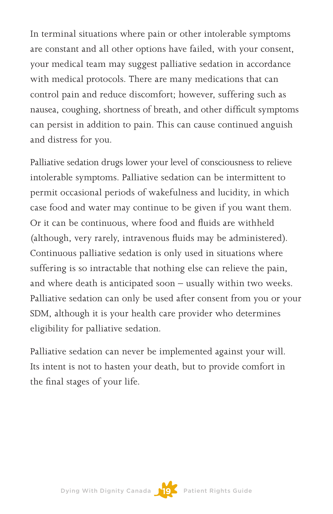In terminal situations where pain or other intolerable symptoms are constant and all other options have failed, with your consent, your medical team may suggest palliative sedation in accordance with medical protocols. There are many medications that can control pain and reduce discomfort; however, suffering such as nausea, coughing, shortness of breath, and other difficult symptoms can persist in addition to pain. This can cause continued anguish and distress for you.

Palliative sedation drugs lower your level of consciousness to relieve intolerable symptoms. Palliative sedation can be intermittent to permit occasional periods of wakefulness and lucidity, in which case food and water may continue to be given if you want them. Or it can be continuous, where food and fluids are withheld (although, very rarely, intravenous fluids may be administered). Continuous palliative sedation is only used in situations where suffering is so intractable that nothing else can relieve the pain, and where death is anticipated soon – usually within two weeks. Palliative sedation can only be used after consent from you or your SDM, although it is your health care provider who determines eligibility for palliative sedation.

Palliative sedation can never be implemented against your will. Its intent is not to hasten your death, but to provide comfort in the final stages of your life.



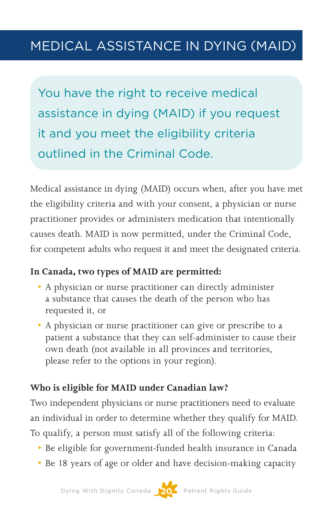You have the right to receive medical assistance in dying (MAID) if you request it and you meet the eligibility criteria outlined in the Criminal Code.

Medical assistance in dying (MAID) occurs when, after you have met the eligibility criteria and with your consent, a physician or nurse practitioner provides or administers medication that intentionally causes death. MAID is now permitted, under the Criminal Code, for competent adults who request it and meet the designated criteria.

#### **In Canada, two types of MAID are permitted:**

- A physician or nurse practitioner can directly administer a substance that causes the death of the person who has requested it, or
- A physician or nurse practitioner can give or prescribe to a patient a substance that they can self-administer to cause their own death (not available in all provinces and territories, please refer to the options in your region).

#### **Who is eligible for MAID under Canadian law?**

Two independent physicians or nurse practitioners need to evaluate an individual in order to determine whether they qualify for MAID. To qualify, a person must satisfy all of the following criteria:

- Be eligible for government-funded health insurance in Canada
- Be 18 years of age or older and have decision-making capacity

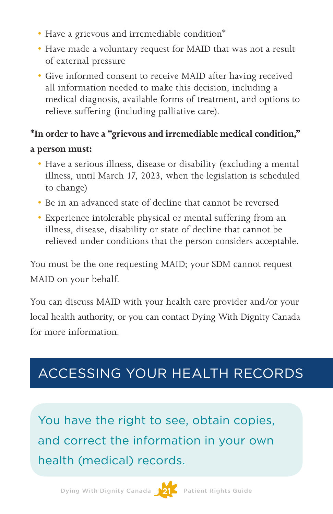- Have a grievous and irremediable condition\*
- Have made a voluntary request for MAID that was not a result of external pressure
- • Give informed consent to receive MAID after having received all information needed to make this decision, including a medical diagnosis, available forms of treatment, and options to relieve suffering (including palliative care).

#### **\*In order to have a "grievous and irremediable medical condition,"**

#### **a person must:**

- Have a serious illness, disease or disability (excluding a mental illness, until March 17, 2023, when the legislation is scheduled to change)
- Be in an advanced state of decline that cannot be reversed
- Experience intolerable physical or mental suffering from an illness, disease, disability or state of decline that cannot be relieved under conditions that the person considers acceptable.

You must be the one requesting MAID; your SDM cannot request MAID on your behalf.

You can discuss MAID with your health care provider and/or your local health authority, or you can contact Dying With Dignity Canada for more information.

### ACCESSING YOUR HEALTH RECORDS

You have the right to see, obtain copies, and correct the information in your own health (medical) records.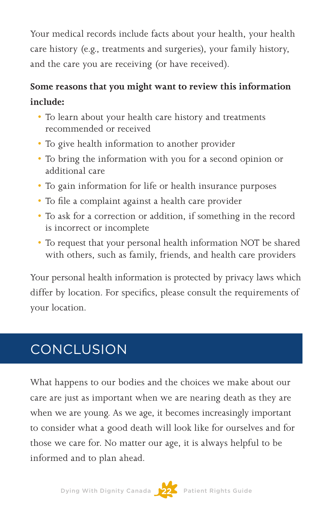Your medical records include facts about your health, your health care history (e.g., treatments and surgeries), your family history, and the care you are receiving (or have received).

#### **Some reasons that you might want to review this information include:**

- • To learn about your health care history and treatments recommended or received
- To give health information to another provider
- • To bring the information with you for a second opinion or additional care
- • To gain information for life or health insurance purposes
- • To file a complaint against a health care provider
- • To ask for a correction or addition, if something in the record is incorrect or incomplete
- To request that your personal health information NOT be shared with others, such as family, friends, and health care providers

Your personal health information is protected by privacy laws which differ by location. For specifics, please consult the requirements of your location.

### **CONCLUSION**

What happens to our bodies and the choices we make about our care are just as important when we are nearing death as they are when we are young. As we age, it becomes increasingly important to consider what a good death will look like for ourselves and for those we care for. No matter our age, it is always helpful to be informed and to plan ahead.

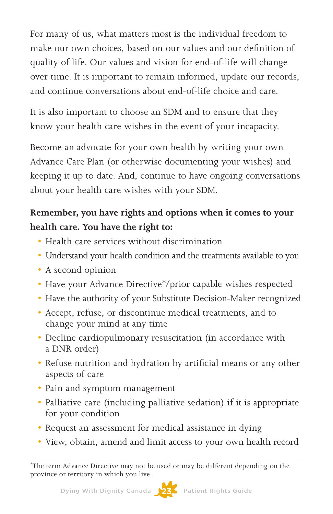For many of us, what matters most is the individual freedom to make our own choices, based on our values and our definition of quality of life. Our values and vision for end-of-life will change over time. It is important to remain informed, update our records, and continue conversations about end-of-life choice and care.

It is also important to choose an SDM and to ensure that they know your health care wishes in the event of your incapacity.

Become an advocate for your own health by writing your own Advance Care Plan (or otherwise documenting your wishes) and keeping it up to date. And, continue to have ongoing conversations about your health care wishes with your SDM.

#### **Remember, you have rights and options when it comes to your health care. You have the right to:**

- Health care services without discrimination
- Understand your health condition and the treatments available to you
- A second opinion
- Have your Advance Directive\*/prior capable wishes respected
- Have the authority of your Substitute Decision-Maker recognized
- • Accept, refuse, or discontinue medical treatments, and to change your mind at any time
- Decline cardiopulmonary resuscitation (in accordance with a DNR order)
- Refuse nutrition and hydration by artificial means or any other aspects of care
- Pain and symptom management
- Palliative care (including palliative sedation) if it is appropriate for your condition
- Request an assessment for medical assistance in dying
- • View, obtain, amend and limit access to your own health record



<sup>\*</sup> The term Advance Directive may not be used or may be different depending on the province or territory in which you live.